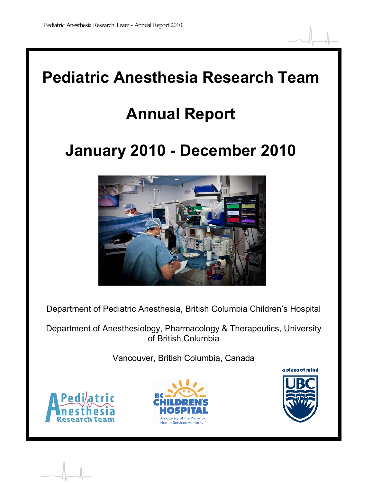

# **Annual Report**

# **January 2010 - December 2010**



Department of Pediatric Anesthesia, British Columbia Children's Hospital

Department of Anesthesiology, Pharmacology & Therapeutics, University of British Columbia

Vancouver, British Columbia, Canada





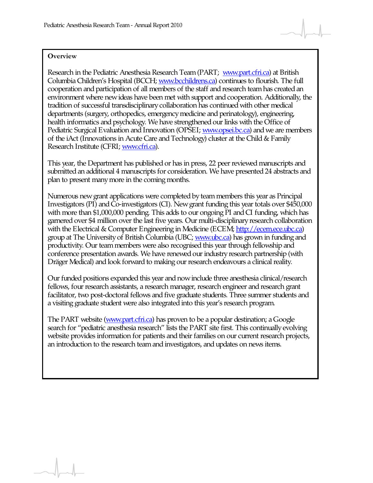#### **Overview**

Research in the Pediatric Anesthesia Research Team (PART; [www.part.cfri.ca\)](http://www.part.cfri.ca/) at British Columbia Children's Hospital (BCCH; [www.bcchildrens.ca](http://www.bcchildrens.ca/)) continues to flourish. The full cooperation and participation of all members of the staff and research team has created an environment where new ideas have been met with support and cooperation. Additionally, the tradition of successful transdisciplinary collaboration has continued with other medical departments (surgery, orthopedics, emergency medicine and perinatology), engineering, health informatics and psychology. We have strengthened our links with the Office of Pediatric Surgical Evaluation and Innovation (OPSEI; [www.opsei.bc.ca](http://www.opsei.bc.ca/)) and we are members of the iAct (Innovations in Acute Care and Technology) cluster at the Child & Family Research Institute (CFRI; [www.cfri.ca](http://www.cfri.ca/)).

This year, the Department has published or has in press, 22 peer reviewed manuscripts and submitted an additional 4 manuscripts for consideration. We have presented 24 abstracts and plan to present many more in the coming months.

Numerous new grant applications were completed by team members this year as Principal Investigators (PI) and Co-investigators (CI). New grant funding this year totals over \$450,000 with more than \$1,000,000 pending. This adds to our ongoing PI and CI funding, which has garnered over \$4 million over the last five years. Our multi-disciplinary research collaboration with the Electrical & Computer Engineering in Medicine (ECEM; [http://ecem.ece.ubc.ca](http://ecem.ece.ubc.ca/)) group at The University of British Columbia (UBC; [www.ubc.ca](http://www.ubc.ca/)) has grown in funding and productivity. Our team members were also recognised this year through fellowship and conference presentation awards. We have renewed our industry research partnership (with Dräger Medical) and look forward to making our research endeavours a clinical reality.

Our funded positions expanded this year and now include three anesthesia clinical/research fellows, four research assistants, a research manager, research engineer and research grant facilitator, two post-doctoral fellows and five graduate students. Three summer students and a visiting graduate student were also integrated into this year's research program.

The PART website [\(www.part.cfri.ca\)](http://www.part.cfri.ca/) has proven to be a popular destination; a Google search for "pediatric anesthesia research" lists the PART site first. This continually evolving website provides information for patients and their families on our current research projects, an introduction to the research team and investigators, and updates on news items.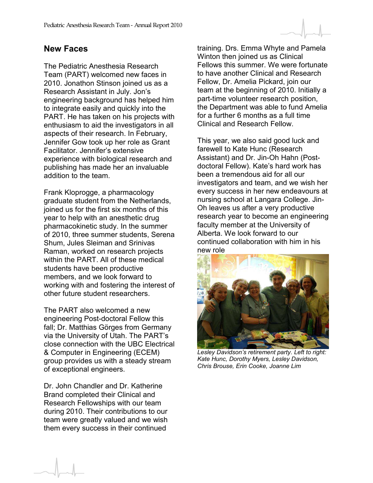#### **New Faces**

The Pediatric Anesthesia Research Team (PART) welcomed new faces in 2010. Jonathon Stinson joined us as a Research Assistant in July. Jon's engineering background has helped him to integrate easily and quickly into the PART. He has taken on his projects with enthusiasm to aid the investigators in all aspects of their research. In February, Jennifer Gow took up her role as Grant Facilitator. Jennifer's extensive experience with biological research and publishing has made her an invaluable addition to the team.

Frank Kloprogge, a pharmacology graduate student from the Netherlands, joined us for the first six months of this year to help with an anesthetic drug pharmacokinetic study. In the summer of 2010, three summer students, Serena Shum, Jules Sleiman and Srinivas Raman, worked on research projects within the PART. All of these medical students have been productive members, and we look forward to working with and fostering the interest of other future student researchers.

The PART also welcomed a new engineering Post-doctoral Fellow this fall; Dr. Matthias Görges from Germany via the University of Utah. The PART's close connection with the UBC Electrical & Computer in Engineering (ECEM) group provides us with a steady stream of exceptional engineers.

Dr. John Chandler and Dr. Katherine Brand completed their Clinical and Research Fellowships with our team during 2010. Their contributions to our team were greatly valued and we wish them every success in their continued

training. Drs. Emma Whyte and Pamela Winton then joined us as Clinical Fellows this summer. We were fortunate to have another Clinical and Research Fellow, Dr. Amelia Pickard, join our team at the beginning of 2010. Initially a part-time volunteer research position, the Department was able to fund Amelia for a further 6 months as a full time Clinical and Research Fellow.

This year, we also said good luck and farewell to Kate Hunc (Research Assistant) and Dr. Jin-Oh Hahn (Postdoctoral Fellow). Kate's hard work has been a tremendous aid for all our investigators and team, and we wish her every success in her new endeavours at nursing school at Langara College. Jin-Oh leaves us after a very productive research year to become an engineering faculty member at the University of Alberta. We look forward to our continued collaboration with him in his new role



*Lesley Davidson's retirement party. Left to right: Kate Hunc, Dorothy Myers, Lesley Davidson, Chris Brouse, Erin Cooke, Joanne Lim*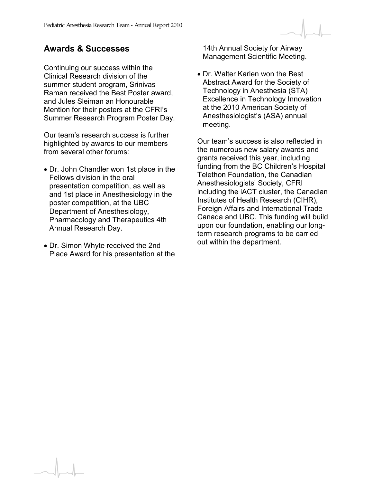#### **Awards & Successes**

Continuing our success within the Clinical Research division of the summer student program, Srinivas Raman received the Best Poster award, and Jules Sleiman an Honourable Mention for their posters at the CFRI's Summer Research Program Poster Day.

Our team's research success is further highlighted by awards to our members from several other forums:

- Dr. John Chandler won 1st place in the Fellows division in the oral presentation competition, as well as and 1st place in Anesthesiology in the poster competition, at the UBC Department of Anesthesiology, Pharmacology and Therapeutics 4th Annual Research Day.
- Dr. Simon Whyte received the 2nd Place Award for his presentation at the

14th Annual Society for Airway Management Scientific Meeting.

• Dr. Walter Karlen won the Best Abstract Award for the Society of Technology in Anesthesia (STA) Excellence in Technology Innovation at the 2010 American Society of Anesthesiologist's (ASA) annual meeting.

Our team's success is also reflected in the numerous new salary awards and grants received this year, including funding from the BC Children's Hospital Telethon Foundation, the Canadian Anesthesiologists' Society, CFRI including the iACT cluster, the Canadian Institutes of Health Research (CIHR), Foreign Affairs and International Trade Canada and UBC. This funding will build upon our foundation, enabling our longterm research programs to be carried out within the department.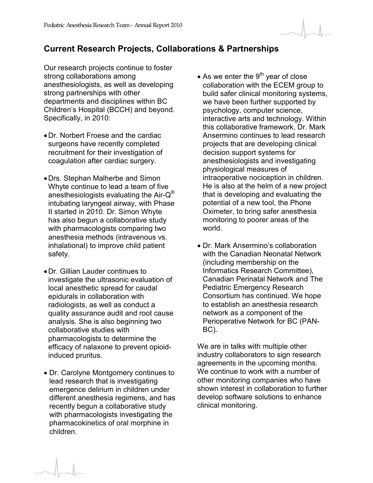#### **Current Research Projects, Collaborations & Partnerships**

Our research projects continue to foster strong collaborations among anesthesiologists, as well as developing strong partnerships with other departments and disciplines within BC Children's Hospital (BCCH) and beyond. Specifically, in 2010:

- Dr. Norbert Froese and the cardiac surgeons have recently completed recruitment for their investigation of coagulation after cardiac surgery.
- Drs. Stephan Malherbe and Simon Whyte continue to lead a team of five anesthesiologists evaluating the Air- $Q^{\circledast}$ intubating laryngeal airway, with Phase II started in 2010. Dr. Simon Whyte has also begun a collaborative study with pharmacologists comparing two anesthesia methods (intravenous vs. inhalational) to improve child patient safety.
- Dr. Gillian Lauder continues to investigate the ultrasonic evaluation of local anesthetic spread for caudal epidurals in collaboration with radiologists, as well as conduct a quality assurance audit and root cause analysis. She is also beginning two collaborative studies with pharmacologists to determine the efficacy of nalaxone to prevent opioidinduced pruritus.
- Dr. Carolyne Montgomery continues to lead research that is investigating emergence delirium in children under different anesthesia regimens, and has recently begun a collaborative study with pharmacologists investigating the pharmacokinetics of oral morphine in children.
- As we enter the  $9<sup>th</sup>$  year of close collaboration with the ECEM group to build safer clinical monitoring systems, we have been further supported by psychology, computer science, interactive arts and technology. Within this collaborative framework, Dr. Mark Ansermino continues to lead research projects that are developing clinical decision support systems for anesthesiologists and investigating physiological measures of intraoperative nociception in children. He is also at the helm of a new project that is developing and evaluating the potential of a new tool, the Phone Oximeter, to bring safer anesthesia monitoring to poorer areas of the world.
- Dr. Mark Ansermino's collaboration with the Canadian Neonatal Network (including membership on the Informatics Research Committee), Canadian Perinatal Network and The Pediatric Emergency Research Consortium has continued. We hope to establish an anesthesia research network as a component of the Perioperative Network for BC (PAN-BC).

We are in talks with multiple other industry collaborators to sign research agreements in the upcoming months. We continue to work with a number of other monitoring companies who have shown interest in collaboration to further develop software solutions to enhance clinical monitoring.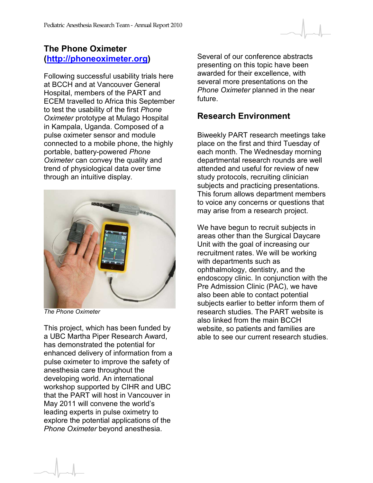#### **The Phone Oximeter [\(http://phoneoximeter.org\)](http://www.phoneoximeter.org/)**

Following successful usability trials here at BCCH and at Vancouver General Hospital, members of the PART and ECEM travelled to Africa this September to test the usability of the first *Phone Oximeter* prototype at Mulago Hospital in Kampala, Uganda. Composed of a pulse oximeter sensor and module connected to a mobile phone, the highly portable, battery-powered *Phone Oximeter* can convey the quality and trend of physiological data over time through an intuitive display.



*The Phone Oximeter* 

This project, which has been funded by a UBC Martha Piper Research Award, has demonstrated the potential for enhanced delivery of information from a pulse oximeter to improve the safety of anesthesia care throughout the developing world. An international workshop supported by CIHR and UBC that the PART will host in Vancouver in May 2011 will convene the world's leading experts in pulse oximetry to explore the potential applications of the *Phone Oximeter* beyond anesthesia.

Several of our conference abstracts presenting on this topic have been awarded for their excellence, with several more presentations on the *Phone Oximeter* planned in the near future.

#### **Research Environment**

Biweekly PART research meetings take place on the first and third Tuesday of each month. The Wednesday morning departmental research rounds are well attended and useful for review of new study protocols, recruiting clinician subjects and practicing presentations. This forum allows department members to voice any concerns or questions that may arise from a research project.

We have begun to recruit subjects in areas other than the Surgical Daycare Unit with the goal of increasing our recruitment rates. We will be working with departments such as ophthalmology, dentistry, and the endoscopy clinic. In conjunction with the Pre Admission Clinic (PAC), we have also been able to contact potential subjects earlier to better inform them of research studies. The PART website is also linked from the main BCCH website, so patients and families are able to see our current research studies.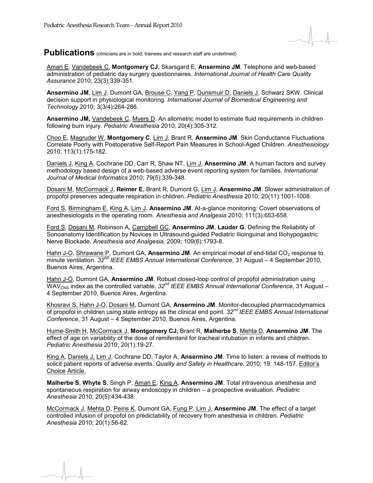

Publications (clinicians are in bold; trainees and research staff are underlined)

Amari E, Vandebeek C, **Montgomery CJ**, Skarsgard E, **Ansermino JM**. Telephone and web-based administration of pediatric day surgery questionnaires. *International Journal of Health Care Quality Assurance* 2010; 23(3):339-351.

**Ansermino JM**, Lim J, Dumont GA, Brouse C, Yang P, Dunsmuir D, Daniels J, Schwarz SKW. Clinical decision support in physiological monitoring. *International Journal of Biomedical Engineering and Technology* 2010; 3(3/4):264-286.

**Ansermino JM,** Vandebeek C, Myers D. An allometric model to estimate fluid requirements in children following burn injury. *Pediatric Anesthesia* 2010; 20(4):305-312.

Choo E, Magruder W, **Montgomery C**, Lim J, Brant R, **Ansermino JM**. Skin Conductance Fluctuations Correlate Poorly with Postoperative Self-Report Pain Measures in School-Aged Children. *Anesthesiology* 2010; 113(1):175-182.

Daniels J, King A, Cochrane DD, Carr R, Shaw NT, Lim J, **Ansermino JM**. A human factors and survey methodology based design of a web-based adverse event reporting system for families. *International Journal of Medical Informatics* 2010; 79(5):339-348.

Dosani M, McCormack J, **Reimer E**, Brant R, Dumont G, Lim J, **Ansermino JM**. Slower administration of propofol preserves adequate respiration in children. *Pediatric Anesthesia* 2010; 20(11):1001-1008.

Ford S, Birmingham E, King A, Lim J, **Ansermino JM**. At-a-glance monitoring: Covert observations of anesthesiologists in the operating room. *Anesthesia and Analgesia* 2010; 111(3):653-658.

Ford S, Dosani M, Robinson A, Campbell GC, **Ansermino JM**, **Lauder G**. Defining the Reliability of Sonoanatomy Identification by Novices in Ultrasound-guided Pediatric Ilioinguinal and Iliohypogastric Nerve Blockade. *Anesthesia and Analgesia,* 2009; 109(6):1793-8.

Hahn J-O, Shrawane P, Dumont GA, Ansermino JM. An empirical model of end-tidal CO<sub>2</sub> response to minute ventilation. *32nd IEEE EMBS Annual International Conference*, 31 August – 4 September 2010, Buenos Aires, Argentina.

Hahn J-O, Dumont GA, **Ansermino JM**. Robust closed-loop control of propofol administration using WAV<sub>CNS</sub> index as the controlled variable. 32<sup>nd</sup> IEEE EMBS Annual International Conference, 31 August – 4 September 2010, Buenos Aires, Argentina.

Khosravi S, Hahn J-O, Dosani M, Dumont GA, **Ansermino JM**. Monitor-decoupled pharmacodymamics of propofol in children using state entropy as the clinical end point. *32nd IEEE EMBS Annual International Conference*, 31 August – 4 September 2010, Buenos Aires, Argentina.

Hume-Smith H, McCormack J, **Montgomery CJ,** Brant R, **Malherbe S**, Mehta D, **Ansermino JM**. The effect of age on variability of the dose of remifentanil for tracheal intubation in infants and children. *Pediatric Anesthesia* 2010; 20(1):19-27.

King A, Daniels J, Lim J, Cochrane DD, Taylor A, **Ansermino JM**. Time to listen: a review of methods to solicit patient reports of adverse events. *Quality and Safety in Healthcare,* 2010; 19: 148-157. Editor's Choice Article.

**Malherbe S**, **Whyte S**, Singh P, Amari E, King A, **Ansermino JM**. Total intravenous anesthesia and spontaneous respiration for airway endoscopy in children – a prospective evaluation. *Pediatric Anesthesia* 2010; 20(5):434-438.

McCormack J, Mehta D, Peiris K, Dumont GA, Fung P, Lim J, **Ansermino JM**. The effect of a target controlled infusion of propofol on predictability of recovery from anesthesia in children. *Pediatric Anesthesia* 2010; 20(1):56-62.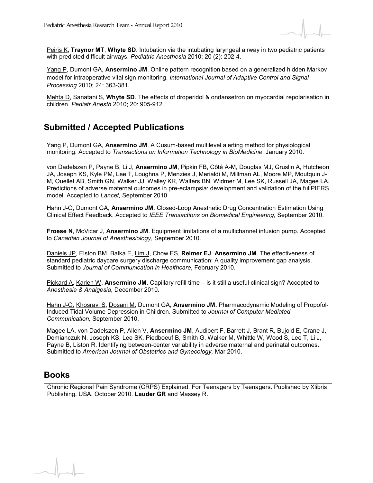

Peiris K, **Traynor MT**, **Whyte SD**. Intubation via the intubating laryngeal airway in two pediatric patients with predicted difficult airways. *Pediatric Anesthesia* 2010; 20 (2): 202-4.

Yang P, Dumont GA, **Ansermino JM**. Online pattern recognition based on a generalized hidden Markov model for intraoperative vital sign monitoring. *International Journal of Adaptive Control and Signal Processing* 2010; 24: 363-381.

Mehta D, Sanatani S, **Whyte SD**. The effects of droperidol & ondansetron on myocardial repolarisation in children. *Pediatr Anesth* 2010; 20: 905-912.

#### **Submitted / Accepted Publications**

Yang P, Dumont GA, **Ansermino JM**. A Cusum-based multilevel alerting method for physiological monitoring. Accepted to *Transactions on Information Technology in BioMedicine*, January 2010.

von Dadelszen P, Payne B, Li J, **Ansermino JM**, Pipkin FB, Côté A-M, Douglas MJ, Gruslin A, Hutcheon JA, Joseph KS, Kyle PM, Lee T, Loughna P, Menzies J, Merialdi M, Millman AL, Moore MP, Moutquin J-M, Ouellet AB, Smith GN, Walker JJ, Walley KR, Walters BN, Widmer M, Lee SK, Russell JA, Magee LA. Predictions of adverse maternal outcomes in pre-eclampsia: development and validation of the fullPIERS model. Accepted to *Lancet,* September 2010.

Hahn J-O, Dumont GA, **Ansermino JM**. Closed-Loop Anesthetic Drug Concentration Estimation Using Clinical Effect Feedback. Accepted to *IEEE Transactions on Biomedical Engineering*, September 2010.

**Froese N**, McVicar J, **Ansermino JM**. Equipment limitations of a multichannel infusion pump. Accepted to *Canadian Journal of Anesthesiology*, September 2010.

Daniels JP, Elston BM, Balka E, Lim J, Chow ES, **Reimer EJ**, **Ansermino JM**. The effectiveness of standard pediatric daycare surgery discharge communication: A quality improvement gap analysis. Submitted to *Journal of Communication in Healthcare*, February 2010.

Pickard A, Karlen W, **Ansermino JM**. Capillary refill time – is it still a useful clinical sign? Accepted to *Anesthesia & Analgesia*, December 2010.

Hahn J-O, Khosravi S, Dosani M, Dumont GA, **Ansermino JM.** Pharmacodynamic Modeling of Propofol-Induced Tidal Volume Depression in Children. Submitted to *Journal of Computer-Mediated Communication,* September 2010.

Magee LA, von Dadelszen P, Allen V, **Ansermino JM**, Audibert F, Barrett J, Brant R, Bujold E, Crane J, Demianczuk N, Joseph KS, Lee SK, Piedboeuf B, Smith G, Walker M, Whittle W, Wood S, Lee T, Li J, Payne B, Liston R. Identifying between-center variability in adverse maternal and perinatal outcomes. Submitted to *American Journal of Obstetrics and Gynecology,* Mar 2010.

#### **Books**

Chronic Regional Pain Syndrome (CRPS) Explained. For Teenagers by Teenagers. Published by Xlibris Publishing, USA. October 2010. **Lauder GR** and Massey R.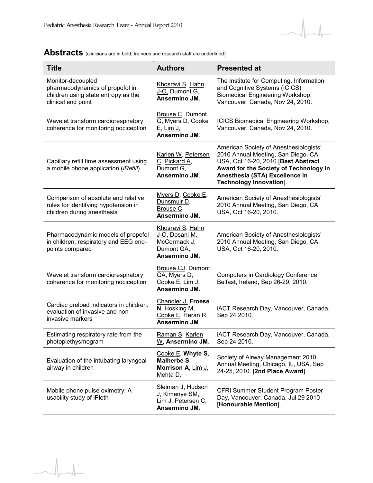$\sqrt{ }$ 



| <b>Title</b>                                                                                                      | <b>Authors</b>                                                                    | <b>Presented at</b>                                                                                                                                                                                                                 |
|-------------------------------------------------------------------------------------------------------------------|-----------------------------------------------------------------------------------|-------------------------------------------------------------------------------------------------------------------------------------------------------------------------------------------------------------------------------------|
| Monitor-decoupled<br>pharmacodynamics of propofol in<br>children using state entropy as the<br>clinical end point | Khosravi S, Hahn<br>J-O, Dumont G,<br>Ansermino JM.                               | The Institute for Computing, Information<br>and Cognitive Systems (ICICS)<br>Biomedical Engineering Workshop,<br>Vancouver, Canada, Nov 24, 2010.                                                                                   |
| Wavelet transform cardiorespiratory<br>coherence for monitoring nociception                                       | Brouse C, Dumont<br>G, Myers D, Cooke<br>E, Lim J,<br>Ansermino JM.               | <b>ICICS Biomedical Engineering Workshop,</b><br>Vancouver, Canada, Nov 24, 2010.                                                                                                                                                   |
| Capillary refill time assessment using<br>a mobile phone application (iRefill)                                    | Karlen W, Petersen<br>C, Pickard A,<br>Dumont G,<br>Ansermino JM.                 | American Society of Anesthesiologists'<br>2010 Annual Meeting, San Diego, CA,<br>USA, Oct 16-20, 2010. [Best Abstract<br>Award for the Society of Technology in<br>Anesthesia (STA) Excellence in<br><b>Technology Innovation].</b> |
| Comparison of absolute and relative<br>rules for identifying hypotension in<br>children during anesthesia         | Myers D, Cooke E,<br>Dunsmuir D,<br>Brouse C,<br>Ansermino JM.                    | American Society of Anesthesiologists'<br>2010 Annual Meeting, San Diego, CA,<br>USA, Oct 16-20, 2010.                                                                                                                              |
| Pharmacodynamic models of propofol<br>in children: respiratory and EEG end-<br>points compared                    | Khosravi S, Hahn<br>J-O, Dosani M,<br>McCormack J,<br>Dumont GA,<br>Ansermino JM. | American Society of Anesthesiologists'<br>2010 Annual Meeting, San Diego, CA,<br>USA, Oct 16-20, 2010.                                                                                                                              |
| Wavelet transform cardiorespiratory<br>coherence for monitoring nociception                                       | <b>Brouse CJ, Dumont</b><br>GA, Myers D,<br>Cooke E, Lim J,<br>Ansermino JM.      | Computers in Cardiology Conference,<br>Belfast, Ireland, Sep 26-29, 2010.                                                                                                                                                           |
| Cardiac preload indicators in children,<br>evaluation of invasive and non-<br>invasive markers                    | Chandler J. Froese<br>N, Hosking M,<br>Cooke E, Heran R,<br><b>Ansermino JM</b>   | iACT Research Day, Vancouver, Canada,<br>Sep 24 2010.                                                                                                                                                                               |
| Estimating respiratory rate from the<br>photoplethysmogram                                                        | Raman S, Karlen<br>W. Ansermino JM.                                               | iACT Research Day, Vancouver, Canada,<br>Sep 24 2010.                                                                                                                                                                               |
| Evaluation of the intubating laryngeal<br>airway in children                                                      | Cooke $E$ , Whyte S,<br>Malherbe S,<br>Morrison A, Lim J,<br>Mehta D.             | Society of Airway Management 2010<br>Annual Meeting, Chicago, IL, USA, Sep<br>24-25, 2010. [2nd Place Award].                                                                                                                       |
| Mobile phone pulse oximetry: A<br>usability study of iPleth                                                       | Sleiman J, Hudson<br>J, Kimenye SM,<br>Lim J, Petersen C,<br>Ansermino JM.        | CFRI Summer Student Program Poster<br>Day, Vancouver, Canada, Jul 29 2010<br>[Honourable Mention].                                                                                                                                  |

## Abstracts (clinicians are in bold; trainees and research staff are underlined)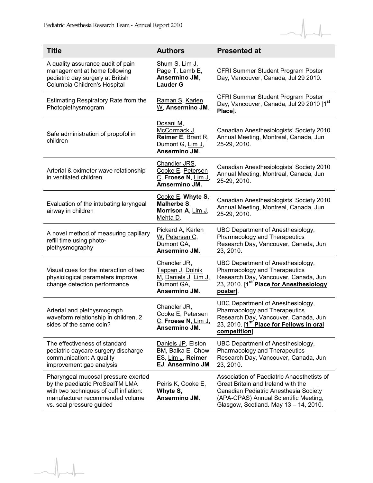$\overline{a}$ 



| <b>Title</b>                                                                                                                                                                    | <b>Authors</b>                                                                          | <b>Presented at</b>                                                                                                                                                                                         |
|---------------------------------------------------------------------------------------------------------------------------------------------------------------------------------|-----------------------------------------------------------------------------------------|-------------------------------------------------------------------------------------------------------------------------------------------------------------------------------------------------------------|
| A quality assurance audit of pain<br>management at home following<br>pediatric day surgery at British<br>Columbia Children's Hospital                                           | Shum S, Lim J,<br>Page T, Lamb E,<br>Ansermino JM,<br><b>Lauder G</b>                   | CFRI Summer Student Program Poster<br>Day, Vancouver, Canada, Jul 29 2010.                                                                                                                                  |
| Estimating Respiratory Rate from the<br>Photoplethysmogram                                                                                                                      | Raman S, Karlen<br>W, Ansermino JM.                                                     | CFRI Summer Student Program Poster<br>Day, Vancouver, Canada, Jul 29 2010 [1st<br>Place].                                                                                                                   |
| Safe administration of propofol in<br>children                                                                                                                                  | Dosani M,<br>McCormack J,<br>Reimer E, Brant R,<br>Dumont G, Lim J,<br>Ansermino JM.    | Canadian Anesthesiologists' Society 2010<br>Annual Meeting, Montreal, Canada, Jun<br>25-29, 2010.                                                                                                           |
| Arterial & oximeter wave relationship<br>in ventilated children                                                                                                                 | Chandler JRS,<br>Cooke E, Petersen<br>C, Froese N, Lim J,<br>Amsermino JM.              | Canadian Anesthesiologists' Society 2010<br>Annual Meeting, Montreal, Canada, Jun<br>25-29, 2010.                                                                                                           |
| Evaluation of the intubating laryngeal<br>airway in children                                                                                                                    | Cooke $E$ , Whyte S,<br>Malherbe S,<br>Morrison A, Lim J,<br>Mehta D.                   | Canadian Anesthesiologists' Society 2010<br>Annual Meeting, Montreal, Canada, Jun<br>25-29, 2010.                                                                                                           |
| A novel method of measuring capillary<br>refill time using photo-<br>plethysmography                                                                                            | Pickard A, Karlen<br>W, Petersen C,<br>Dumont GA,<br>Ansermino JM.                      | UBC Department of Anesthesiology,<br>Pharmacology and Therapeutics<br>Research Day, Vancouver, Canada, Jun<br>23, 2010.                                                                                     |
| Visual cues for the interaction of two<br>physiological parameters improve<br>change detection performance                                                                      | Chandler JR,<br>Tappan J, Dolnik<br>M, Daniels J, Lim J,<br>Dumont GA,<br>Ansermino JM. | UBC Department of Anesthesiology,<br>Pharmacology and Therapeutics<br>Research Day, Vancouver, Canada, Jun<br>23, 2010. [1 <sup>st Place for Anesthesiology</sup><br>poster].                               |
| Arterial and plethysmograph<br>waveform relationship in children, 2<br>sides of the same coin?                                                                                  | Chandler JR,<br>Cooke E, Petersen<br>C, Froese N, Lim J,<br>Ansermino JM.               | UBC Department of Anesthesiology,<br>Pharmacology and Therapeutics<br>Research Day, Vancouver, Canada, Jun<br>23, 2010. [1 <sup>st place</sup> for Fellows in oral<br>competition].                         |
| The effectiveness of standard<br>pediatric daycare surgery discharge<br>communication: A quality<br>improvement gap analysis                                                    | Daniels JP, Elston<br>BM, Balka E, Chow<br>ES, Lim J, Reimer<br>EJ, Ansermino JM        | UBC Department of Anesthesiology,<br>Pharmacology and Therapeutics<br>Research Day, Vancouver, Canada, Jun<br>23, 2010.                                                                                     |
| Pharyngeal mucosal pressure exerted<br>by the paediatric ProSealTM LMA<br>with two techniques of cuff inflation:<br>manufacturer recommended volume<br>vs. seal pressure guided | Peiris K, Cooke E,<br>Whyte S,<br>Ansermino JM.                                         | Association of Paediatric Anaesthetists of<br>Great Britain and Ireland with the<br>Canadian Pediatric Anesthesia Society<br>(APA-CPAS) Annual Scientific Meeting,<br>Glasgow, Scotland. May 13 - 14, 2010. |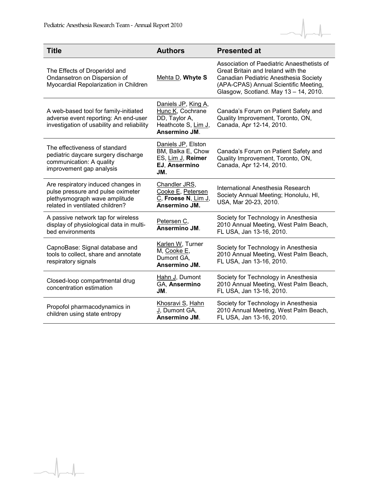$\begin{array}{c} \hline \end{array}$ 



| <b>Title</b>                                                                                                                                | <b>Authors</b>                                                                                   | <b>Presented at</b>                                                                                                                                                                                         |
|---------------------------------------------------------------------------------------------------------------------------------------------|--------------------------------------------------------------------------------------------------|-------------------------------------------------------------------------------------------------------------------------------------------------------------------------------------------------------------|
| The Effects of Droperidol and<br>Ondansetron on Dispersion of<br>Myocardial Repolarization in Children                                      | Mehta D, Whyte S                                                                                 | Association of Paediatric Anaesthetists of<br>Great Britain and Ireland with the<br>Canadian Pediatric Anesthesia Society<br>(APA-CPAS) Annual Scientific Meeting,<br>Glasgow, Scotland. May 13 - 14, 2010. |
| A web-based tool for family-initiated<br>adverse event reporting: An end-user<br>investigation of usability and reliability                 | Daniels JP, King A,<br>Hunc K, Cochrane<br>DD, Taylor A,<br>Heathcote S, Lim J,<br>Ansermino JM. | Canada's Forum on Patient Safety and<br>Quality Improvement, Toronto, ON,<br>Canada, Apr 12-14, 2010.                                                                                                       |
| The effectiveness of standard<br>pediatric daycare surgery discharge<br>communication: A quality<br>improvement gap analysis                | Daniels JP, Elston<br>BM, Balka E, Chow<br>ES, Lim J, Reimer<br>EJ. Ansermino<br>JM.             | Canada's Forum on Patient Safety and<br>Quality Improvement, Toronto, ON,<br>Canada, Apr 12-14, 2010.                                                                                                       |
| Are respiratory induced changes in<br>pulse pressure and pulse oximeter<br>plethysmograph wave amplitude<br>related in ventilated children? | Chandler JRS,<br>Cooke E, Petersen<br>C, Froese N, Lim J,<br>Ansermino JM.                       | International Anesthesia Research<br>Society Annual Meeting; Honolulu, HI,<br>USA, Mar 20-23, 2010.                                                                                                         |
| A passive network tap for wireless<br>display of physiological data in multi-<br>bed environments                                           | Petersen C,<br>Ansermino JM.                                                                     | Society for Technology in Anesthesia<br>2010 Annual Meeting, West Palm Beach,<br>FL USA, Jan 13-16, 2010.                                                                                                   |
| CapnoBase: Signal database and<br>tools to collect, share and annotate<br>respiratory signals                                               | Karlen W, Turner<br>M, Cooke E,<br>Dumont GA,<br>Ansermino JM.                                   | Society for Technology in Anesthesia<br>2010 Annual Meeting, West Palm Beach,<br>FL USA, Jan 13-16, 2010.                                                                                                   |
| Closed-loop compartmental drug<br>concentration estimation                                                                                  | Hahn J, Dumont<br>GA, Ansermino<br>JM.                                                           | Society for Technology in Anesthesia<br>2010 Annual Meeting, West Palm Beach,<br>FL USA, Jan 13-16, 2010.                                                                                                   |
| Propofol pharmacodynamics in<br>children using state entropy                                                                                | <u>Khosravi S, Hahn</u><br>J. Dumont GA,<br>Ansermino JM.                                        | Society for Technology in Anesthesia<br>2010 Annual Meeting, West Palm Beach,<br>FL USA, Jan 13-16, 2010.                                                                                                   |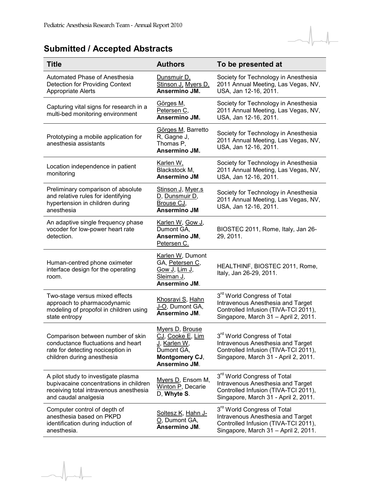## **Submitted / Accepted Abstracts**

| <b>Title</b>                                                                                                                                    | <b>Authors</b>                                                                                       | To be presented at                                                                                                                                           |
|-------------------------------------------------------------------------------------------------------------------------------------------------|------------------------------------------------------------------------------------------------------|--------------------------------------------------------------------------------------------------------------------------------------------------------------|
| Automated Phase of Anesthesia<br><b>Detection for Providing Context</b><br><b>Appropriate Alerts</b>                                            | Dunsmuir D,<br>Stinson J. Myers D.<br>Ansermino JM.                                                  | Society for Technology in Anesthesia<br>2011 Annual Meeting, Las Vegas, NV,<br>USA, Jan 12-16, 2011.                                                         |
| Capturing vital signs for research in a<br>multi-bed monitoring environment                                                                     | Görges M,<br>Petersen C,<br>Ansermino JM.                                                            | Society for Technology in Anesthesia<br>2011 Annual Meeting, Las Vegas, NV,<br>USA, Jan 12-16, 2011.                                                         |
| Prototyping a mobile application for<br>anesthesia assistants                                                                                   | Görges M, Barretto<br>R, Gagne J,<br>Thomas P,<br>Ansermino JM.                                      | Society for Technology in Anesthesia<br>2011 Annual Meeting, Las Vegas, NV,<br>USA, Jan 12-16, 2011.                                                         |
| Location independence in patient<br>monitoring                                                                                                  | Karlen W,<br>Blackstock M,<br><b>Ansermino JM</b>                                                    | Society for Technology in Anesthesia<br>2011 Annual Meeting, Las Vegas, NV,<br>USA, Jan 12-16, 2011.                                                         |
| Preliminary comparison of absolute<br>and relative rules for identifying<br>hypertension in children during<br>anesthesia                       | Stinson J, Myer.s<br>D, Dunsmuir D,<br>Brouse CJ,<br><b>Ansermino JM</b>                             | Society for Technology in Anesthesia<br>2011 Annual Meeting, Las Vegas, NV,<br>USA, Jan 12-16, 2011.                                                         |
| An adaptive single frequency phase<br>vocoder for low-power heart rate<br>detection.                                                            | <u>Karlen W, Gow J,</u><br>Dumont GA,<br>Ansermino JM,<br>Petersen C.                                | BIOSTEC 2011, Rome, Italy, Jan 26-<br>29, 2011.                                                                                                              |
| Human-centred phone oximeter<br>interface design for the operating<br>room.                                                                     | Karlen W, Dumont<br>GA, Petersen C,<br>Gow J, Lim J,<br>Sleiman J,<br>Ansermino JM.                  | HEALTHINF, BIOSTEC 2011, Rome,<br>Italy, Jan 26-29, 2011.                                                                                                    |
| Two-stage versus mixed effects<br>approach to pharmacodynamic<br>modeling of propofol in children using<br>state entropy                        | Khosravi S, Hahn<br>J-Q, Dumont GA,<br>Ansermino JM.                                                 | 3rd World Congress of Total<br>Intravenous Anesthesia and Target<br>Controlled Infusion (TIVA-TCI 2011),<br>Singapore, March 31 - April 2, 2011.             |
| Comparison between number of skin<br>conductance fluctuations and heart<br>rate for detecting nociception in<br>children during anesthesia      | Myers D, Brouse<br>CJ, Cooke E, Lim<br>J, Karlen W,<br>Dumont GA,<br>Montgomery CJ,<br>Ansermino JM. | 3 <sup>rd</sup> World Congress of Total<br>Intravenous Anesthesia and Target<br>Controlled Infusion (TIVA-TCI 2011),<br>Singapore, March 31 - April 2, 2011. |
| A pilot study to investigate plasma<br>bupivacaine concentrations in children<br>receiving total intravenous anesthesia<br>and caudal analgesia | Myers D, Ensom M,<br>Winton P, Decarie<br>D, Whyte S.                                                | 3 <sup>rd</sup> World Congress of Total<br>Intravenous Anesthesia and Target<br>Controlled Infusion (TIVA-TCI 2011),<br>Singapore, March 31 - April 2, 2011. |
| Computer control of depth of<br>anesthesia based on PKPD<br>identification during induction of<br>anesthesia.                                   | Soltesz K, Hahn J-<br>O <sub>.</sub> Dumont GA,<br>Ansermino JM.                                     | 3rd World Congress of Total<br>Intravenous Anesthesia and Target<br>Controlled Infusion (TIVA-TCI 2011),<br>Singapore, March 31 - April 2, 2011.             |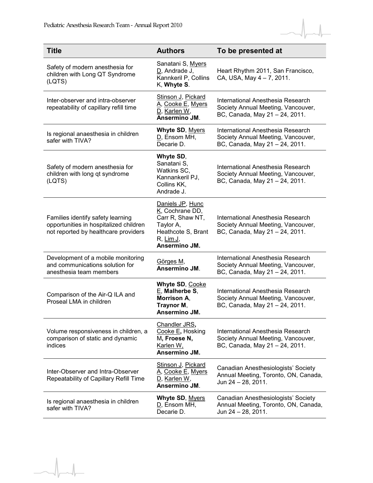$\overline{1}$ 



| <b>Title</b>                                                                                                        | <b>Authors</b>                                                                                                                                | To be presented at                                                                                        |
|---------------------------------------------------------------------------------------------------------------------|-----------------------------------------------------------------------------------------------------------------------------------------------|-----------------------------------------------------------------------------------------------------------|
| Safety of modern anesthesia for<br>children with Long QT Syndrome<br>(LQTS)                                         | Sanatani S, Myers<br>D, Andrade J,<br>Kannkeril P, Collins<br>K, Whyte S.                                                                     | Heart Rhythm 2011, San Francisco,<br>CA, USA, May 4 - 7, 2011.                                            |
| Inter-observer and intra-observer<br>repeatability of capillary refill time                                         | Stinson J, Pickard<br>A, Cooke E, Myers<br>D, Karlen W,<br>Ansermino JM.                                                                      | International Anesthesia Research<br>Society Annual Meeting, Vancouver,<br>BC, Canada, May 21 - 24, 2011. |
| Is regional anaesthesia in children<br>safer with TIVA?                                                             | Whyte SD, Myers<br>D, Ensom MH,<br>Decarie D.                                                                                                 | International Anesthesia Research<br>Society Annual Meeting, Vancouver,<br>BC, Canada, May 21 - 24, 2011. |
| Safety of modern anesthesia for<br>children with long qt syndrome<br>(LQTS)                                         | Whyte SD,<br>Sanatani S,<br>Watkins SC,<br>Kannankeril PJ,<br>Collins KK,<br>Andrade J.                                                       | International Anesthesia Research<br>Society Annual Meeting, Vancouver,<br>BC, Canada, May 21 - 24, 2011. |
| Families identify safety learning<br>opportunities in hospitalized children<br>not reported by healthcare providers | Daniels JP, Hunc<br>K, Cochrane DD,<br>Carr R, Shaw NT,<br>Taylor A,<br>Heathcote S, Brant<br>$R, \underline{\text{Lim J}},$<br>Ansermino JM. | International Anesthesia Research<br>Society Annual Meeting, Vancouver,<br>BC, Canada, May 21 - 24, 2011. |
| Development of a mobile monitoring<br>and communications solution for<br>anesthesia team members                    | Görges M,<br>Ansermino JM.                                                                                                                    | International Anesthesia Research<br>Society Annual Meeting, Vancouver,<br>BC, Canada, May 21 - 24, 2011. |
| Comparison of the Air-Q ILA and<br>Proseal LMA in children                                                          | Whyte SD, Cooke<br>$E$ , Malherbe S,<br><b>Morrison A.</b><br>Traynor M,<br>Ansermino JM.                                                     | International Anesthesia Research<br>Society Annual Meeting, Vancouver,<br>BC, Canada, May 21 - 24, 2011. |
| Volume responsiveness in children, a<br>comparison of static and dynamic<br>indices                                 | Chandler JRS,<br>Cooke E, Hosking<br>M, Froese N,<br>Karlen W,<br>Ansermino JM.                                                               | International Anesthesia Research<br>Society Annual Meeting, Vancouver,<br>BC, Canada, May 21 - 24, 2011. |
| Inter-Observer and Intra-Observer<br>Repeatability of Capillary Refill Time                                         | Stinson J, Pickard<br>A, Cooke E, Myers<br>D, Karlen W,<br>Ansermino JM.                                                                      | Canadian Anesthesiologists' Society<br>Annual Meeting, Toronto, ON, Canada,<br>Jun 24 - 28, 2011.         |
| Is regional anaesthesia in children<br>safer with TIVA?                                                             | Whyte SD, Myers<br>D, Ensom MH,<br>Decarie D.                                                                                                 | Canadian Anesthesiologists' Society<br>Annual Meeting, Toronto, ON, Canada,<br>Jun 24 - 28, 2011.         |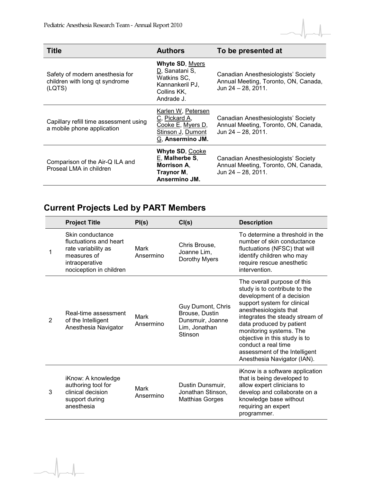

| <b>Title</b>                                                                | <b>Authors</b>                                                                                          | To be presented at                                                                                |
|-----------------------------------------------------------------------------|---------------------------------------------------------------------------------------------------------|---------------------------------------------------------------------------------------------------|
| Safety of modern anesthesia for<br>children with long qt syndrome<br>(LQTS) | <b>Whyte SD, Myers</b><br>D, Sanatani S,<br>Watkins SC,<br>Kannankeril PJ,<br>Collins KK.<br>Andrade J. | Canadian Anesthesiologists' Society<br>Annual Meeting, Toronto, ON, Canada,<br>Jun 24 - 28, 2011. |
| Capillary refill time assessment using<br>a mobile phone application        | Karlen W, Petersen<br>C, Pickard A,<br>Cooke E, Myers D,<br>Stinson J, Dumont<br>G, Ansermino JM.       | Canadian Anesthesiologists' Society<br>Annual Meeting, Toronto, ON, Canada,<br>Jun 24 - 28, 2011. |
| Comparison of the Air-Q ILA and<br>Proseal LMA in children                  | <b>Whyte SD, Cooke</b><br>$E$ , Malherbe S,<br><b>Morrison A.</b><br>Traynor M,<br>Ansermino JM.        | Canadian Anesthesiologists' Society<br>Annual Meeting, Toronto, ON, Canada,<br>Jun 24 - 28, 2011. |

## **Current Projects Led by PART Members**

|   | <b>Project Title</b>                                                                                                          | PI(s)             | CI(s)                                                                               | <b>Description</b>                                                                                                                                                                                                                                                                                                                                                   |
|---|-------------------------------------------------------------------------------------------------------------------------------|-------------------|-------------------------------------------------------------------------------------|----------------------------------------------------------------------------------------------------------------------------------------------------------------------------------------------------------------------------------------------------------------------------------------------------------------------------------------------------------------------|
| 1 | Skin conductance<br>fluctuations and heart<br>rate variability as<br>measures of<br>intraoperative<br>nociception in children | Mark<br>Ansermino | Chris Brouse,<br>Joanne Lim,<br>Dorothy Myers                                       | To determine a threshold in the<br>number of skin conductance<br>fluctuations (NFSC) that will<br>identify children who may<br>require rescue anesthetic<br>intervention.                                                                                                                                                                                            |
| 2 | Real-time assessment<br>of the Intelligent<br>Anesthesia Navigator                                                            | Mark<br>Ansermino | Guy Dumont, Chris<br>Brouse, Dustin<br>Dunsmuir, Joanne<br>Lim, Jonathan<br>Stinson | The overall purpose of this<br>study is to contribute to the<br>development of a decision<br>support system for clinical<br>anesthesiologists that<br>integrates the steady stream of<br>data produced by patient<br>monitoring systems. The<br>objective in this study is to<br>conduct a real time<br>assessment of the Intelligent<br>Anesthesia Navigator (IAN). |
| 3 | iKnow: A knowledge<br>authoring tool for<br>clinical decision<br>support during<br>anesthesia                                 | Mark<br>Ansermino | Dustin Dunsmuir,<br>Jonathan Stinson,<br><b>Matthias Gorges</b>                     | iKnow is a software application<br>that is being developed to<br>allow expert clinicians to<br>develop and collaborate on a<br>knowledge base without<br>requiring an expert<br>programmer.                                                                                                                                                                          |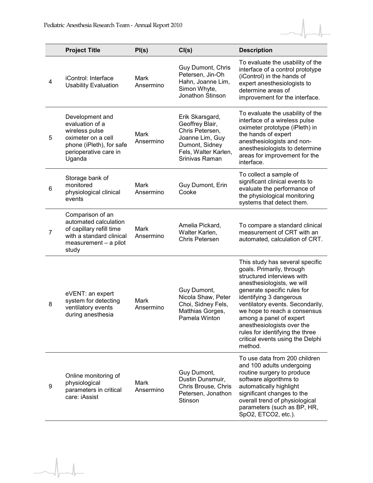

|                | <b>Project Title</b>                                                                                                                      | PI(s)                    | CI(s)                                                                                                                                | <b>Description</b>                                                                                                                                                                                                                                                                                                                                                                                |
|----------------|-------------------------------------------------------------------------------------------------------------------------------------------|--------------------------|--------------------------------------------------------------------------------------------------------------------------------------|---------------------------------------------------------------------------------------------------------------------------------------------------------------------------------------------------------------------------------------------------------------------------------------------------------------------------------------------------------------------------------------------------|
| 4              | iControl: Interface<br><b>Usability Evaluation</b>                                                                                        | <b>Mark</b><br>Ansermino | Guy Dumont, Chris<br>Petersen, Jin-Oh<br>Hahn, Joanne Lim,<br>Simon Whyte,<br>Jonathon Stinson                                       | To evaluate the usability of the<br>interface of a control prototype<br>(iControl) in the hands of<br>expert anesthesiologists to<br>determine areas of<br>improvement for the interface.                                                                                                                                                                                                         |
| 5              | Development and<br>evaluation of a<br>wireless pulse<br>oximeter on a cell<br>phone (iPleth), for safe<br>perioperative care in<br>Uganda | Mark<br>Ansermino        | Erik Skarsgard,<br>Geoffrey Blair,<br>Chris Petersen,<br>Joanne Lim, Guy<br>Dumont, Sidney<br>Fels, Walter Karlen,<br>Srinivas Raman | To evaluate the usability of the<br>interface of a wireless pulse<br>oximeter prototype (iPleth) in<br>the hands of expert<br>anesthesiologists and non-<br>anesthesiologists to determine<br>areas for improvement for the<br>interface.                                                                                                                                                         |
| 6              | Storage bank of<br>monitored<br>physiological clinical<br>events                                                                          | Mark<br>Ansermino        | Guy Dumont, Erin<br>Cooke                                                                                                            | To collect a sample of<br>significant clinical events to<br>evaluate the performance of<br>the physiological monitoring<br>systems that detect them.                                                                                                                                                                                                                                              |
| $\overline{7}$ | Comparison of an<br>automated calculation<br>of capillary refill time<br>with a standard clinical<br>measurement - a pilot<br>study       | Mark<br>Ansermino        | Amelia Pickard,<br>Walter Karlen,<br><b>Chris Petersen</b>                                                                           | To compare a standard clinical<br>measurement of CRT with an<br>automated, calculation of CRT.                                                                                                                                                                                                                                                                                                    |
| 8              | eVENT: an expert<br>system for detecting<br>ventilatory events<br>during anesthesia                                                       | Mark<br>Ansermino        | Guy Dumont,<br>Nicola Shaw, Peter<br>Choi, Sidney Fels,<br>Matthias Gorges,<br>Pamela Winton                                         | This study has several specific<br>goals. Primarily, through<br>structured interviews with<br>anesthesiologists, we will<br>generate specific rules for<br>identifying 3 dangerous<br>ventilatory events. Secondarily,<br>we hope to reach a consensus<br>among a panel of expert<br>anesthesiologists over the<br>rules for identifying the three<br>critical events using the Delphi<br>method. |
| 9              | Online monitoring of<br>physiological<br>parameters in critical<br>care: iAssist                                                          | Mark<br>Ansermino        | Guy Dumont,<br>Dustin Dunsmuir,<br>Chris Brouse, Chris<br>Petersen, Jonathon<br>Stinson                                              | To use data from 200 children<br>and 100 adults undergoing<br>routine surgery to produce<br>software algorithms to<br>automatically highlight<br>significant changes to the<br>overall trend of physiological<br>parameters (such as BP, HR,<br>SpO2, ETCO2, etc.).                                                                                                                               |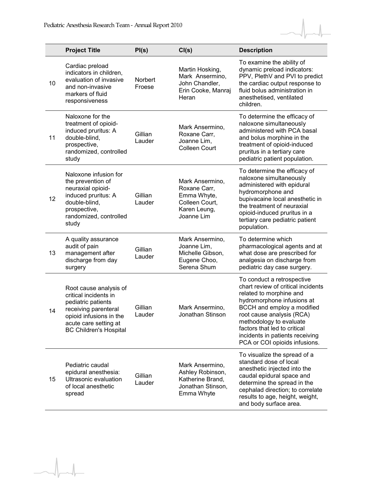$\overline{\phantom{a}}$ 



|    | <b>Project Title</b>                                                                                                                                                               | PI(s)             | CI(s)                                                                                          | <b>Description</b>                                                                                                                                                                                                                                                                                                  |
|----|------------------------------------------------------------------------------------------------------------------------------------------------------------------------------------|-------------------|------------------------------------------------------------------------------------------------|---------------------------------------------------------------------------------------------------------------------------------------------------------------------------------------------------------------------------------------------------------------------------------------------------------------------|
| 10 | Cardiac preload<br>indicators in children,<br>evaluation of invasive<br>and non-invasive<br>markers of fluid<br>responsiveness                                                     | Norbert<br>Froese | Martin Hosking,<br>Mark Ansermino,<br>John Chandler,<br>Erin Cooke, Manraj<br>Heran            | To examine the ability of<br>dynamic preload indicators:<br>PPV, PlethV and PVI to predict<br>the cardiac output response to<br>fluid bolus administration in<br>anesthetised, ventilated<br>children.                                                                                                              |
| 11 | Naloxone for the<br>treatment of opioid-<br>induced pruritus: A<br>double-blind,<br>prospective,<br>randomized, controlled<br>study                                                | Gillian<br>Lauder | Mark Ansermino,<br>Roxane Carr,<br>Joanne Lim,<br><b>Colleen Court</b>                         | To determine the efficacy of<br>naloxone simultaneously<br>administered with PCA basal<br>and bolus morphine in the<br>treatment of opioid-induced<br>pruritus in a tertiary care<br>pediatric patient population.                                                                                                  |
| 12 | Naloxone infusion for<br>the prevention of<br>neuraxial opioid-<br>induced pruritus: A<br>double-blind,<br>prospective,<br>randomized, controlled<br>study                         | Gillian<br>Lauder | Mark Ansermino,<br>Roxane Carr,<br>Emma Whyte,<br>Colleen Court.<br>Karen Leung,<br>Joanne Lim | To determine the efficacy of<br>naloxone simultaneously<br>administered with epidural<br>hydromorphone and<br>bupivacaine local anesthetic in<br>the treatment of neuraxial<br>opioid-induced pruritus in a<br>tertiary care pediatric patient<br>population.                                                       |
| 13 | A quality assurance<br>audit of pain<br>management after<br>discharge from day<br>surgery                                                                                          | Gillian<br>Lauder | Mark Ansermino,<br>Joanne Lim,<br>Michelle Gibson,<br>Eugene Choo,<br>Serena Shum              | To determine which<br>pharmacological agents and at<br>what dose are prescribed for<br>analgesia on discharge from<br>pediatric day case surgery.                                                                                                                                                                   |
| 14 | Root cause analysis of<br>critical incidents in<br>pediatric patients<br>receiving parenteral<br>opioid infusions in the<br>acute care setting at<br><b>BC Children's Hospital</b> | Gillian<br>Lauder | Mark Ansermino,<br>Jonathan Stinson                                                            | To conduct a retrospective<br>chart review of critical incidents<br>related to morphine and<br>hydromorphone infusions at<br>BCCH and employ a modified<br>root cause analysis (RCA)<br>methodology to evaluate<br>factors that led to critical<br>incidents in patients receiving<br>PCA or COI opioids infusions. |
| 15 | Pediatric caudal<br>epidural anesthesia:<br>Ultrasonic evaluation<br>of local anesthetic<br>spread                                                                                 | Gillian<br>Lauder | Mark Ansermino,<br>Ashley Robinson,<br>Katherine Brand,<br>Jonathan Stinson,<br>Emma Whyte     | To visualize the spread of a<br>standard dose of local<br>anesthetic injected into the<br>caudal epidural space and<br>determine the spread in the<br>cephalad direction; to correlate<br>results to age, height, weight,<br>and body surface area.                                                                 |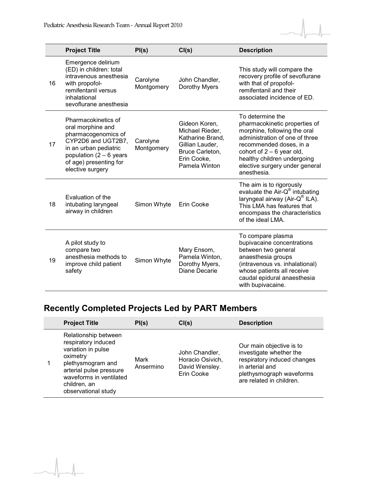

|    | <b>Project Title</b>                                                                                                                                                                      | PI(s)                  | CI(s)                                                                                                                      | <b>Description</b>                                                                                                                                                                                                                                            |
|----|-------------------------------------------------------------------------------------------------------------------------------------------------------------------------------------------|------------------------|----------------------------------------------------------------------------------------------------------------------------|---------------------------------------------------------------------------------------------------------------------------------------------------------------------------------------------------------------------------------------------------------------|
| 16 | Emergence delirium<br>(ED) in children: total<br>intravenous anesthesia<br>with propofol-<br>remifentanil versus<br>inhalational<br>sevoflurane anesthesia                                | Carolyne<br>Montgomery | John Chandler,<br>Dorothy Myers                                                                                            | This study will compare the<br>recovery profile of sevoflurane<br>with that of propofol-<br>remifentanil and their<br>associated incidence of ED.                                                                                                             |
| 17 | Pharmacokinetics of<br>oral morphine and<br>pharmacogenomics of<br>CYP2D6 and UGT2B7,<br>in an urban pediatric<br>population $(2 - 6$ years<br>of age) presenting for<br>elective surgery | Carolyne<br>Montgomery | Gideon Koren,<br>Michael Rieder,<br>Katharine Brand,<br>Gillian Lauder,<br>Bruce Carleton,<br>Erin Cooke,<br>Pamela Winton | To determine the<br>pharmacokinetic properties of<br>morphine, following the oral<br>administration of one of three<br>recommended doses, in a<br>cohort of $2 - 6$ year old,<br>healthy children undergoing<br>elective surgery under general<br>anesthesia. |
| 18 | Evaluation of the<br>intubating laryngeal<br>airway in children                                                                                                                           | Simon Whyte            | Erin Cooke                                                                                                                 | The aim is to rigorously<br>evaluate the Air-Q® intubating<br>laryngeal airway (Air-Q® ILA).<br>This LMA has features that<br>encompass the characteristics<br>of the ideal LMA.                                                                              |
| 19 | A pilot study to<br>compare two<br>anesthesia methods to<br>improve child patient<br>safety                                                                                               | Simon Whyte            | Mary Ensom,<br>Pamela Winton,<br>Dorothy Myers,<br>Diane Decarie                                                           | To compare plasma<br>bupivacaine concentrations<br>between two general<br>anaesthesia groups<br>(intravenous vs. inhalational)<br>whose patients all receive<br>caudal epidural anaesthesia<br>with bupivacaine.                                              |

## **Recently Completed Projects Led by PART Members**

 $\overline{\phantom{a}}$ 

| <b>Project Title</b>                                                                                                                                                                            | PI(s)             | CI(s)                                                              | <b>Description</b>                                                                                                                                            |
|-------------------------------------------------------------------------------------------------------------------------------------------------------------------------------------------------|-------------------|--------------------------------------------------------------------|---------------------------------------------------------------------------------------------------------------------------------------------------------------|
| Relationship between<br>respiratory induced<br>variation in pulse<br>oximetry<br>plethysmogram and<br>arterial pulse pressure<br>waveforms in ventilated<br>children, an<br>observational study | Mark<br>Ansermino | John Chandler,<br>Horacio Osivich,<br>David Wensley.<br>Erin Cooke | Our main objective is to<br>investigate whether the<br>respiratory induced changes<br>in arterial and<br>plethysmograph waveforms<br>are related in children. |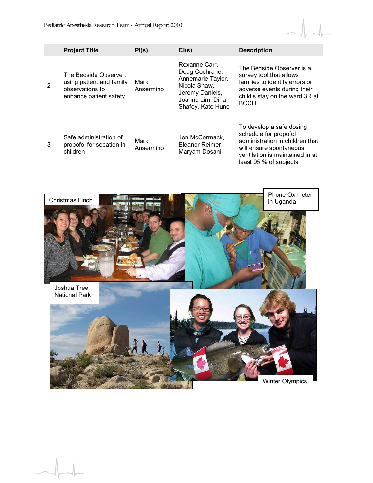

|   | <b>Project Title</b>                                                                           | PI(s)             | CI(s)                                                                                                                            | <b>Description</b>                                                                                                                                                            |
|---|------------------------------------------------------------------------------------------------|-------------------|----------------------------------------------------------------------------------------------------------------------------------|-------------------------------------------------------------------------------------------------------------------------------------------------------------------------------|
|   | The Bedside Observer:<br>using patient and family<br>observations to<br>enhance patient safety | Mark<br>Ansermino | Roxanne Carr,<br>Doug Cochrane,<br>Annemarie Taylor,<br>Nicola Shaw,<br>Jeremy Daniels,<br>Joanne Lim, Dina<br>Shafey, Kate Hunc | The Bedside Observer is a<br>survey tool that allows<br>families to identify errors or<br>adverse events during their<br>child's stay on the ward 3R at<br>BCCH.              |
| 3 | Safe administration of<br>propofol for sedation in<br>children                                 | Mark<br>Ansermino | Jon McCormack,<br>Eleanor Reimer,<br>Maryam Dosani                                                                               | To develop a safe dosing<br>schedule for propofol<br>administration in children that<br>will ensure spontaneous<br>ventilation is maintained in at<br>least 95 % of subjects. |

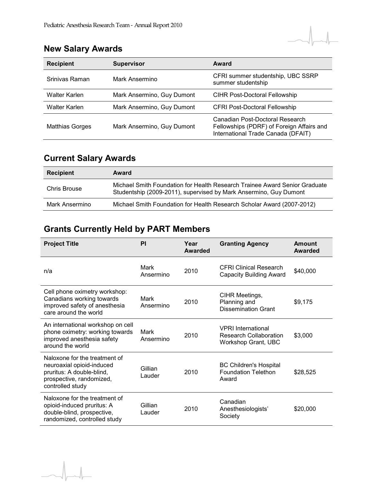## **New Salary Awards**

| <b>Recipient</b>       | <b>Supervisor</b>          | Award                                                                                                              |
|------------------------|----------------------------|--------------------------------------------------------------------------------------------------------------------|
| Srinivas Raman         | Mark Ansermino             | CFRI summer studentship, UBC SSRP<br>summer studentship                                                            |
| Walter Karlen          | Mark Ansermino, Guy Dumont | <b>CIHR Post-Doctoral Fellowship</b>                                                                               |
| Walter Karlen          | Mark Ansermino, Guy Dumont | <b>CFRI Post-Doctoral Fellowship</b>                                                                               |
| <b>Matthias Gorges</b> | Mark Ansermino, Guy Dumont | Canadian Post-Doctoral Research<br>Fellowships (PDRF) of Foreign Affairs and<br>International Trade Canada (DFAIT) |

## **Current Salary Awards**

| <b>Recipient</b> | Award                                                                                                                                           |
|------------------|-------------------------------------------------------------------------------------------------------------------------------------------------|
| Chris Brouse     | Michael Smith Foundation for Health Research Trainee Award Senior Graduate<br>Studentship (2009-2011), supervised by Mark Ansermino, Guy Dumont |
| Mark Ansermino   | Michael Smith Foundation for Health Research Scholar Award (2007-2012)                                                                          |

## **Grants Currently Held by PART Members**

| <b>Project Title</b>                                                                                                                    | PI                | Year<br>Awarded | <b>Granting Agency</b>                                                     | <b>Amount</b><br>Awarded |
|-----------------------------------------------------------------------------------------------------------------------------------------|-------------------|-----------------|----------------------------------------------------------------------------|--------------------------|
| n/a                                                                                                                                     | Mark<br>Ansermino | 2010            | <b>CFRI Clinical Research</b><br>Capacity Building Award                   | \$40,000                 |
| Cell phone oximetry workshop:<br>Canadians working towards<br>improved safety of anesthesia<br>care around the world                    | Mark<br>Ansermino | 2010            | CIHR Meetings,<br>Planning and<br>Dissemination Grant                      | \$9,175                  |
| An international workshop on cell<br>phone oximetry: working towards<br>improved anesthesia safety<br>around the world                  | Mark<br>Ansermino | 2010            | <b>VPRI</b> International<br>Research Collaboration<br>Workshop Grant, UBC | \$3,000                  |
| Naloxone for the treatment of<br>neuroaxial opioid-induced<br>pruritus: A double-blind,<br>prospective, randomized,<br>controlled study | Gillian<br>Lauder | 2010            | <b>BC Children's Hospital</b><br><b>Foundation Telethon</b><br>Award       | \$28,525                 |
| Naloxone for the treatment of<br>opioid-induced pruritus: A<br>double-blind, prospective,<br>randomized, controlled study               | Gillian<br>Lauder | 2010            | Canadian<br>Anesthesiologists'<br>Society                                  | \$20,000                 |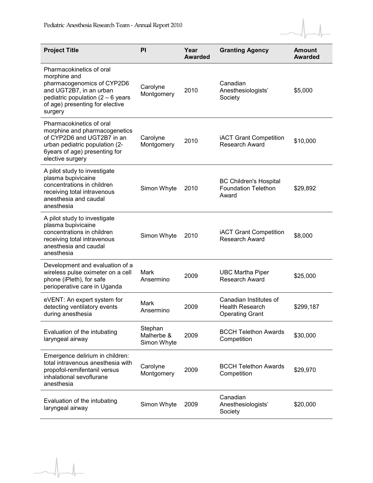$\overline{\phantom{a}}$ 



| <b>Project Title</b>                                                                                                                                                                   | PI                                   | Year<br><b>Awarded</b> | <b>Granting Agency</b>                                                     | <b>Amount</b><br><b>Awarded</b> |
|----------------------------------------------------------------------------------------------------------------------------------------------------------------------------------------|--------------------------------------|------------------------|----------------------------------------------------------------------------|---------------------------------|
| Pharmacokinetics of oral<br>morphine and<br>pharmacogenomics of CYP2D6<br>and UGT2B7, in an urban<br>pediatric population $(2 - 6$ years<br>of age) presenting for elective<br>surgery | Carolyne<br>Montgomery               | 2010                   | Canadian<br>Anesthesiologists'<br>Society                                  | \$5,000                         |
| Pharmacokinetics of oral<br>morphine and pharmacogenetics<br>of CYP2D6 and UGT2B7 in an<br>urban pediatric population (2-<br>6years of age) presenting for<br>elective surgery         | Carolyne<br>Montgomery               | 2010                   | <b>iACT Grant Competition</b><br><b>Research Award</b>                     | \$10,000                        |
| A pilot study to investigate<br>plasma bupivicaine<br>concentrations in children<br>receiving total intravenous<br>anesthesia and caudal<br>anesthesia                                 | Simon Whyte                          | 2010                   | <b>BC Children's Hospital</b><br><b>Foundation Telethon</b><br>Award       | \$29,892                        |
| A pilot study to investigate<br>plasma bupivicaine<br>concentrations in children<br>receiving total intravenous<br>anesthesia and caudal<br>anesthesia                                 | Simon Whyte                          | 2010                   | <b>iACT Grant Competition</b><br><b>Research Award</b>                     | \$8,000                         |
| Development and evaluation of a<br>wireless pulse oximeter on a cell<br>phone (iPleth), for safe<br>perioperative care in Uganda                                                       | Mark<br>Ansermino                    | 2009                   | <b>UBC Martha Piper</b><br><b>Research Award</b>                           | \$25,000                        |
| eVENT: An expert system for<br>detecting ventilatory events<br>during anesthesia                                                                                                       | Mark<br>Ansermino                    | 2009                   | Canadian Institutes of<br><b>Health Research</b><br><b>Operating Grant</b> | \$299,187                       |
| Evaluation of the intubating<br>laryngeal airway                                                                                                                                       | Stephan<br>Malherbe &<br>Simon Whyte | 2009                   | <b>BCCH Telethon Awards</b><br>Competition                                 | \$30,000                        |
| Emergence delirium in children:<br>total intravenous anesthesia with<br>propofol-remifentanil versus<br>inhalational sevoflurane<br>anesthesia                                         | Carolyne<br>Montgomery               | 2009                   | <b>BCCH Telethon Awards</b><br>Competition                                 | \$29,970                        |
| Evaluation of the intubating<br>laryngeal airway                                                                                                                                       | Simon Whyte                          | 2009                   | Canadian<br>Anesthesiologists'<br>Society                                  | \$20,000                        |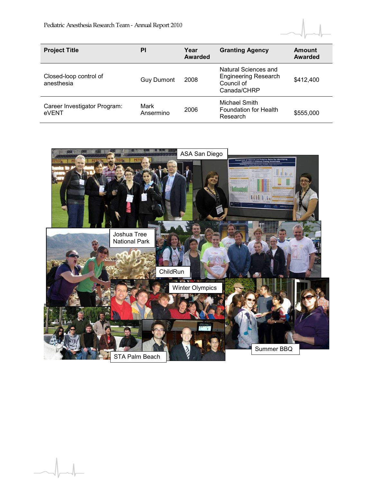

| <b>Project Title</b>                  | PI                | Year<br><b>Awarded</b> | <b>Granting Agency</b>                                                           | Amount<br><b>Awarded</b> |
|---------------------------------------|-------------------|------------------------|----------------------------------------------------------------------------------|--------------------------|
| Closed-loop control of<br>anesthesia  | <b>Guy Dumont</b> | 2008                   | Natural Sciences and<br><b>Engineering Research</b><br>Council of<br>Canada/CHRP | \$412,400                |
| Career Investigator Program:<br>eVENT | Mark<br>Ansermino | 2006                   | Michael Smith<br><b>Foundation for Health</b><br>Research                        | \$555,000                |

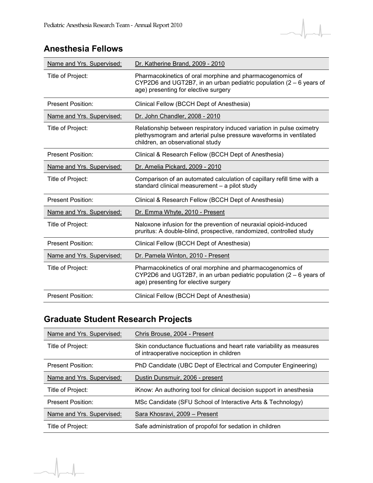#### **Anesthesia Fellows**

| Name and Yrs. Supervised: | Dr. Katherine Brand, 2009 - 2010                                                                                                                                              |
|---------------------------|-------------------------------------------------------------------------------------------------------------------------------------------------------------------------------|
| Title of Project:         | Pharmacokinetics of oral morphine and pharmacogenomics of<br>CYP2D6 and UGT2B7, in an urban pediatric population $(2 - 6)$ years of<br>age) presenting for elective surgery   |
| <b>Present Position:</b>  | Clinical Fellow (BCCH Dept of Anesthesia)                                                                                                                                     |
| Name and Yrs. Supervised: | Dr. John Chandler, 2008 - 2010                                                                                                                                                |
| Title of Project:         | Relationship between respiratory induced variation in pulse oximetry<br>plethysmogram and arterial pulse pressure waveforms in ventilated<br>children, an observational study |
| <b>Present Position:</b>  | Clinical & Research Fellow (BCCH Dept of Anesthesia)                                                                                                                          |
| Name and Yrs. Supervised: | Dr. Amelia Pickard, 2009 - 2010                                                                                                                                               |
| Title of Project:         | Comparison of an automated calculation of capillary refill time with a<br>standard clinical measurement - a pilot study                                                       |
| <b>Present Position:</b>  | Clinical & Research Fellow (BCCH Dept of Anesthesia)                                                                                                                          |
| Name and Yrs. Supervised: | Dr. Emma Whyte, 2010 - Present                                                                                                                                                |
| Title of Project:         | Naloxone infusion for the prevention of neuraxial opioid-induced<br>pruritus: A double-blind, prospective, randomized, controlled study                                       |
| <b>Present Position:</b>  | Clinical Fellow (BCCH Dept of Anesthesia)                                                                                                                                     |
| Name and Yrs. Supervised: | Dr. Pamela Winton, 2010 - Present                                                                                                                                             |
| Title of Project:         | Pharmacokinetics of oral morphine and pharmacogenomics of<br>CYP2D6 and UGT2B7, in an urban pediatric population $(2 - 6)$ years of<br>age) presenting for elective surgery   |
| <b>Present Position:</b>  | Clinical Fellow (BCCH Dept of Anesthesia)                                                                                                                                     |

## **Graduate Student Research Projects**

| Name and Yrs. Supervised: | Chris Brouse, 2004 - Present                                                                                      |
|---------------------------|-------------------------------------------------------------------------------------------------------------------|
| Title of Project:         | Skin conductance fluctuations and heart rate variability as measures<br>of intraoperative nociception in children |
| <b>Present Position:</b>  | PhD Candidate (UBC Dept of Electrical and Computer Engineering)                                                   |
| Name and Yrs. Supervised: | Dustin Dunsmuir, 2006 - present                                                                                   |
| Title of Project:         | iKnow: An authoring tool for clinical decision support in anesthesia                                              |
| <b>Present Position:</b>  | MSc Candidate (SFU School of Interactive Arts & Technology)                                                       |
| Name and Yrs. Supervised: | Sara Khosravi, 2009 – Present                                                                                     |
| Title of Project:         | Safe administration of propofol for sedation in children                                                          |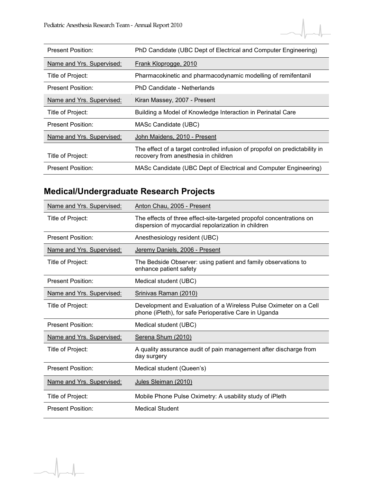

| <b>Present Position:</b>  | PhD Candidate (UBC Dept of Electrical and Computer Engineering)                                                     |
|---------------------------|---------------------------------------------------------------------------------------------------------------------|
| Name and Yrs. Supervised: | Frank Kloprogge, 2010                                                                                               |
| Title of Project:         | Pharmacokinetic and pharmacodynamic modelling of remifentanil                                                       |
| <b>Present Position:</b>  | PhD Candidate - Netherlands                                                                                         |
| Name and Yrs. Supervised: | Kiran Massey, 2007 - Present                                                                                        |
| Title of Project:         | Building a Model of Knowledge Interaction in Perinatal Care                                                         |
| Present Position:         | MASc Candidate (UBC)                                                                                                |
| Name and Yrs. Supervised: | John Maidens, 2010 - Present                                                                                        |
| Title of Project:         | The effect of a target controlled infusion of propofol on predictability in<br>recovery from anesthesia in children |
| <b>Present Position:</b>  | MASc Candidate (UBC Dept of Electrical and Computer Engineering)                                                    |

## **Medical/Undergraduate Research Projects**

| Name and Yrs. Supervised: | Anton Chau, 2005 - Present                                                                                                  |
|---------------------------|-----------------------------------------------------------------------------------------------------------------------------|
| Title of Project:         | The effects of three effect-site-targeted propofol concentrations on<br>dispersion of myocardial repolarization in children |
| Present Position:         | Anesthesiology resident (UBC)                                                                                               |
| Name and Yrs. Supervised: | Jeremy Daniels, 2006 - Present                                                                                              |
| Title of Project:         | The Bedside Observer: using patient and family observations to<br>enhance patient safety                                    |
| <b>Present Position:</b>  | Medical student (UBC)                                                                                                       |
| Name and Yrs. Supervised: | Srinivas Raman (2010)                                                                                                       |
| Title of Project:         | Development and Evaluation of a Wireless Pulse Oximeter on a Cell<br>phone (iPleth), for safe Perioperative Care in Uganda  |
| <b>Present Position:</b>  | Medical student (UBC)                                                                                                       |
| Name and Yrs. Supervised: | Serena Shum (2010)                                                                                                          |
| Title of Project:         | A quality assurance audit of pain management after discharge from<br>day surgery                                            |
| <b>Present Position:</b>  | Medical student (Queen's)                                                                                                   |
| Name and Yrs. Supervised: | Jules Sleiman (2010)                                                                                                        |
| Title of Project:         | Mobile Phone Pulse Oximetry: A usability study of iPleth                                                                    |
| <b>Present Position:</b>  | <b>Medical Student</b>                                                                                                      |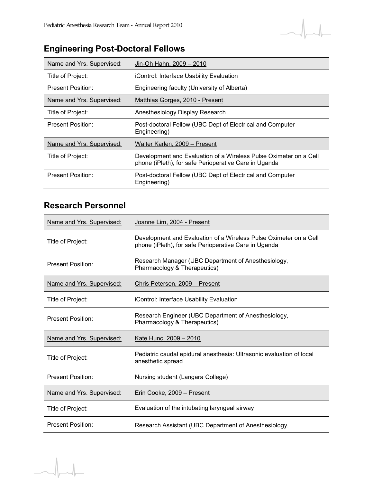

## **Engineering Post-Doctoral Fellows**

| Name and Yrs. Supervised: | Jin-Oh Hahn, 2009 - 2010                                                                                                   |
|---------------------------|----------------------------------------------------------------------------------------------------------------------------|
| Title of Project:         | iControl: Interface Usability Evaluation                                                                                   |
| <b>Present Position:</b>  | Engineering faculty (University of Alberta)                                                                                |
| Name and Yrs. Supervised: | Matthias Gorges, 2010 - Present                                                                                            |
| Title of Project:         | Anesthesiology Display Research                                                                                            |
| <b>Present Position:</b>  | Post-doctoral Fellow (UBC Dept of Electrical and Computer<br>Engineering)                                                  |
| Name and Yrs. Supervised: | Walter Karlen. 2009 – Present                                                                                              |
| Title of Project:         | Development and Evaluation of a Wireless Pulse Oximeter on a Cell<br>phone (iPleth), for safe Perioperative Care in Uganda |
| <b>Present Position:</b>  | Post-doctoral Fellow (UBC Dept of Electrical and Computer<br>Engineering)                                                  |

#### **Research Personnel**

| Name and Yrs. Supervised: | Joanne Lim, 2004 - Present                                                                                                 |
|---------------------------|----------------------------------------------------------------------------------------------------------------------------|
| Title of Project:         | Development and Evaluation of a Wireless Pulse Oximeter on a Cell<br>phone (iPleth), for safe Perioperative Care in Uganda |
| <b>Present Position:</b>  | Research Manager (UBC Department of Anesthesiology,<br>Pharmacology & Therapeutics)                                        |
| Name and Yrs. Supervised: | Chris Petersen, 2009 - Present                                                                                             |
| Title of Project:         | iControl: Interface Usability Evaluation                                                                                   |
| <b>Present Position:</b>  | Research Engineer (UBC Department of Anesthesiology,<br>Pharmacology & Therapeutics)                                       |
| Name and Yrs. Supervised: | Kate Hunc, 2009 - 2010                                                                                                     |
| Title of Project:         | Pediatric caudal epidural anesthesia: Ultrasonic evaluation of local<br>anesthetic spread                                  |
| Present Position:         | Nursing student (Langara College)                                                                                          |
| Name and Yrs. Supervised: | Erin Cooke, 2009 - Present                                                                                                 |
| Title of Project:         | Evaluation of the intubating laryngeal airway                                                                              |
| Present Position:         | Research Assistant (UBC Department of Anesthesiology,                                                                      |